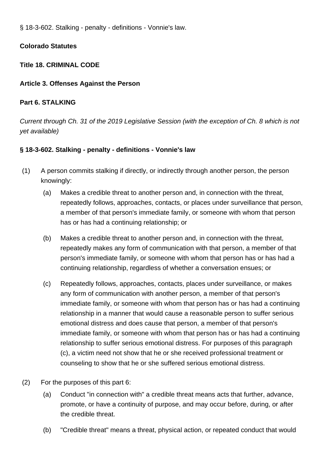§ 18-3-602. Stalking - penalty - definitions - Vonnie's law.

# **Colorado Statutes**

# **Title 18. CRIMINAL CODE**

# **Article 3. Offenses Against the Person**

# **Part 6. STALKING**

Current through Ch. 31 of the 2019 Legislative Session (with the exception of Ch. 8 which is not yet available)

# **§ 18-3-602. Stalking - penalty - definitions - Vonnie's law**

- (1) A person commits stalking if directly, or indirectly through another person, the person knowingly:
	- (a) Makes a credible threat to another person and, in connection with the threat, repeatedly follows, approaches, contacts, or places under surveillance that person, a member of that person's immediate family, or someone with whom that person has or has had a continuing relationship; or
	- (b) Makes a credible threat to another person and, in connection with the threat, repeatedly makes any form of communication with that person, a member of that person's immediate family, or someone with whom that person has or has had a continuing relationship, regardless of whether a conversation ensues; or
	- (c) Repeatedly follows, approaches, contacts, places under surveillance, or makes any form of communication with another person, a member of that person's immediate family, or someone with whom that person has or has had a continuing relationship in a manner that would cause a reasonable person to suffer serious emotional distress and does cause that person, a member of that person's immediate family, or someone with whom that person has or has had a continuing relationship to suffer serious emotional distress. For purposes of this paragraph (c), a victim need not show that he or she received professional treatment or counseling to show that he or she suffered serious emotional distress.
- (2) For the purposes of this part 6:
	- (a) Conduct "in connection with" a credible threat means acts that further, advance, promote, or have a continuity of purpose, and may occur before, during, or after the credible threat.
	- (b) "Credible threat" means a threat, physical action, or repeated conduct that would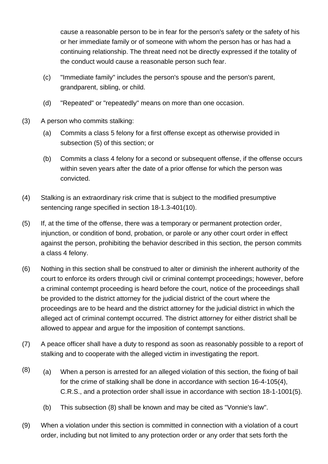cause a reasonable person to be in fear for the person's safety or the safety of his or her immediate family or of someone with whom the person has or has had a continuing relationship. The threat need not be directly expressed if the totality of the conduct would cause a reasonable person such fear.

- (c) "Immediate family" includes the person's spouse and the person's parent, grandparent, sibling, or child.
- (d) "Repeated" or "repeatedly" means on more than one occasion.
- (3) A person who commits stalking:
	- (a) Commits a class 5 felony for a first offense except as otherwise provided in subsection (5) of this section; or
	- (b) Commits a class 4 felony for a second or subsequent offense, if the offense occurs within seven years after the date of a prior offense for which the person was convicted.
- (4) Stalking is an extraordinary risk crime that is subject to the modified presumptive sentencing range specified in section 18-1.3-401(10).
- (5) If, at the time of the offense, there was a temporary or permanent protection order, injunction, or condition of bond, probation, or parole or any other court order in effect against the person, prohibiting the behavior described in this section, the person commits a class 4 felony.
- (6) Nothing in this section shall be construed to alter or diminish the inherent authority of the court to enforce its orders through civil or criminal contempt proceedings; however, before a criminal contempt proceeding is heard before the court, notice of the proceedings shall be provided to the district attorney for the judicial district of the court where the proceedings are to be heard and the district attorney for the judicial district in which the alleged act of criminal contempt occurred. The district attorney for either district shall be allowed to appear and argue for the imposition of contempt sanctions.
- (7) A peace officer shall have a duty to respond as soon as reasonably possible to a report of stalking and to cooperate with the alleged victim in investigating the report.
- $(8)$  (a) When a person is arrested for an alleged violation of this section, the fixing of bail for the crime of stalking shall be done in accordance with section 16-4-105(4), C.R.S., and a protection order shall issue in accordance with section 18-1-1001(5).
	- (b) This subsection (8) shall be known and may be cited as "Vonnie's law".
- (9) When a violation under this section is committed in connection with a violation of a court order, including but not limited to any protection order or any order that sets forth the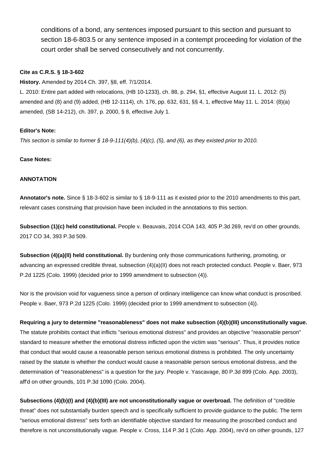conditions of a bond, any sentences imposed pursuant to this section and pursuant to section 18-6-803.5 or any sentence imposed in a contempt proceeding for violation of the court order shall be served consecutively and not concurrently.

### **Cite as C.R.S. § 18-3-602**

**History.** Amended by 2014 Ch. 397, §8, eff. 7/1/2014.

L. 2010: Entire part added with relocations, (HB 10-1233), ch. 88, p. 294, §1, effective August 11. L. 2012: (5) amended and (8) and (9) added, (HB 12-1114), ch. 176, pp. 632, 631, §§ 4, 1, effective May 11. L. 2014: (8)(a) amended, (SB 14-212), ch. 397, p. 2000, § 8, effective July 1.

## **Editor's Note:**

This section is similar to former  $\S 18$ -9-111(4)(b), (4)(c), (5), and (6), as they existed prior to 2010.

### **Case Notes:**

## **ANNOTATION**

**Annotator's note.** Since § 18-3-602 is similar to § 18-9-111 as it existed prior to the 2010 amendments to this part, relevant cases construing that provision have been included in the annotations to this section.

**Subsection (1)(c) held constitutional.** People v. Beauvais, 2014 COA 143, 405 P.3d 269, rev'd on other grounds, 2017 CO 34, 393 P.3d 509.

**Subsection (4)(a)(II) held constitutional.** By burdening only those communications furthering, promoting, or advancing an expressed credible threat, subsection (4)(a)(II) does not reach protected conduct. People v. Baer, 973 P.2d 1225 (Colo. 1999) (decided prior to 1999 amendment to subsection (4)).

Nor is the provision void for vagueness since a person of ordinary intelligence can know what conduct is proscribed. People v. Baer, 973 P.2d 1225 (Colo. 1999) (decided prior to 1999 amendment to subsection (4)).

**Requiring a jury to determine "reasonableness" does not make subsection (4)(b)(III) unconstitutionally vague.** The statute prohibits contact that inflicts "serious emotional distress" and provides an objective "reasonable person" standard to measure whether the emotional distress inflicted upon the victim was "serious". Thus, it provides notice that conduct that would cause a reasonable person serious emotional distress is prohibited. The only uncertainty raised by the statute is whether the conduct would cause a reasonable person serious emotional distress, and the determination of "reasonableness" is a question for the jury. People v. Yascavage, 80 P.3d 899 (Colo. App. 2003), aff'd on other grounds, 101 P.3d 1090 (Colo. 2004).

**Subsections (4)(b)(I) and (4)(b)(III) are not unconstitutionally vague or overbroad.** The definition of "credible threat" does not substantially burden speech and is specifically sufficient to provide guidance to the public. The term "serious emotional distress" sets forth an identifiable objective standard for measuring the proscribed conduct and therefore is not unconstitutionally vague. People v. Cross, 114 P.3d 1 (Colo. App. 2004), rev'd on other grounds, 127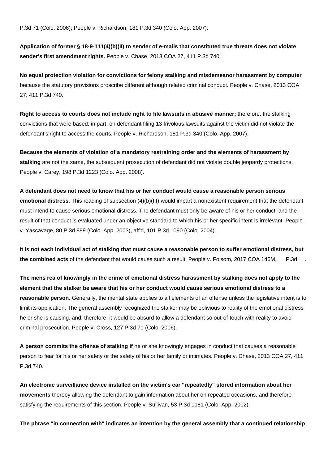P.3d 71 (Colo. 2006); People v. Richardson, 181 P.3d 340 (Colo. App. 2007).

**Application of former § 18-9-111(4)(b)(II) to sender of e-mails that constituted true threats does not violate sender's first amendment rights.** People v. Chase, 2013 COA 27, 411 P.3d 740.

**No equal protection violation for convictions for felony stalking and misdemeanor harassment by computer** because the statutory provisions proscribe different although related criminal conduct. People v. Chase, 2013 COA 27, 411 P.3d 740.

**Right to access to courts does not include right to file lawsuits in abusive manner;** therefore, the stalking convictions that were based, in part, on defendant filing 13 frivolous lawsuits against the victim did not violate the defendant's right to access the courts. People v. Richardson, 181 P.3d 340 (Colo. App. 2007).

**Because the elements of violation of a mandatory restraining order and the elements of harassment by stalking** are not the same, the subsequent prosecution of defendant did not violate double jeopardy protections. People v. Carey, 198 P.3d 1223 (Colo. App. 2008).

**A defendant does not need to know that his or her conduct would cause a reasonable person serious emotional distress.** This reading of subsection (4)(b)(III) would impart a nonexistent requirement that the defendant must intend to cause serious emotional distress. The defendant must only be aware of his or her conduct, and the result of that conduct is evaluated under an objective standard to which his or her specific intent is irrelevant. People v. Yascavage, 80 P.3d 899 (Colo. App. 2003), aff'd, 101 P.3d 1090 (Colo. 2004).

**It is not each individual act of stalking that must cause a reasonable person to suffer emotional distress, but the combined acts** of the defendant that would cause such a result. People v. Folsom, 2017 COA 146M, \_\_ P.3d \_\_.

**The mens rea of knowingly in the crime of emotional distress harassment by stalking does not apply to the element that the stalker be aware that his or her conduct would cause serious emotional distress to a reasonable person.** Generally, the mental state applies to all elements of an offense unless the legislative intent is to limit its application. The general assembly recognized the stalker may be oblivious to reality of the emotional distress he or she is causing, and, therefore, it would be absurd to allow a defendant so out-of-touch with reality to avoid criminal prosecution. People v. Cross, 127 P.3d 71 (Colo. 2006).

**A person commits the offense of stalking if** he or she knowingly engages in conduct that causes a reasonable person to fear for his or her safety or the safety of his or her family or intimates. People v. Chase, 2013 COA 27, 411 P.3d 740.

**An electronic surveillance device installed on the victim's car "repeatedly" stored information about her movements** thereby allowing the defendant to gain information about her on repeated occasions, and therefore satisfying the requirements of this section. People v. Sullivan, 53 P.3d 1181 (Colo. App. 2002).

**The phrase "in connection with" indicates an intention by the general assembly that a continued relationship**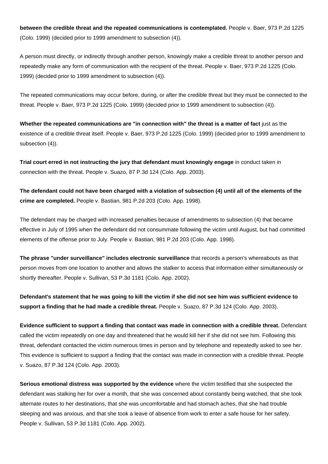**between the credible threat and the repeated communications is contemplated.** People v. Baer, 973 P.2d 1225 (Colo. 1999) (decided prior to 1999 amendment to subsection (4)).

A person must directly, or indirectly through another person, knowingly make a credible threat to another person and repeatedly make any form of communication with the recipient of the threat. People v. Baer, 973 P.2d 1225 (Colo. 1999) (decided prior to 1999 amendment to subsection (4)).

The repeated communications may occur before, during, or after the credible threat but they must be connected to the threat. People v. Baer, 973 P.2d 1225 (Colo. 1999) (decided prior to 1999 amendment to subsection (4)).

**Whether the repeated communications are "in connection with" the threat is a matter of fact** just as the existence of a credible threat itself. People v. Baer, 973 P.2d 1225 (Colo. 1999) (decided prior to 1999 amendment to subsection (4)).

**Trial court erred in not instructing the jury that defendant must knowingly engage** in conduct taken in connection with the threat. People v. Suazo, 87 P.3d 124 (Colo. App. 2003).

**The defendant could not have been charged with a violation of subsection (4) until all of the elements of the crime are completed.** People v. Bastian, 981 P.2d 203 (Colo. App. 1998).

The defendant may be charged with increased penalties because of amendments to subsection (4) that became effective in July of 1995 when the defendant did not consummate following the victim until August, but had committed elements of the offense prior to July. People v. Bastian, 981 P.2d 203 (Colo. App. 1998).

**The phrase "under surveillance" includes electronic surveillance** that records a person's whereabouts as that person moves from one location to another and allows the stalker to access that information either simultaneously or shortly thereafter. People v. Sullivan, 53 P.3d 1181 (Colo. App. 2002).

**Defendant's statement that he was going to kill the victim if she did not see him was sufficient evidence to support a finding that he had made a credible threat.** People v. Suazo, 87 P.3d 124 (Colo. App. 2003).

**Evidence sufficient to support a finding that contact was made in connection with a credible threat.** Defendant called the victim repeatedly on one day and threatened that he would kill her if she did not see him. Following this threat, defendant contacted the victim numerous times in person and by telephone and repeatedly asked to see her. This evidence is sufficient to support a finding that the contact was made in connection with a credible threat. People v. Suazo, 87 P.3d 124 (Colo. App. 2003).

**Serious emotional distress was supported by the evidence** where the victim testified that she suspected the defendant was stalking her for over a month, that she was concerned about constantly being watched, that she took alternate routes to her destinations, that she was uncomfortable and had stomach aches, that she had trouble sleeping and was anxious, and that she took a leave of absence from work to enter a safe house for her safety. People v. Sullivan, 53 P.3d 1181 (Colo. App. 2002).